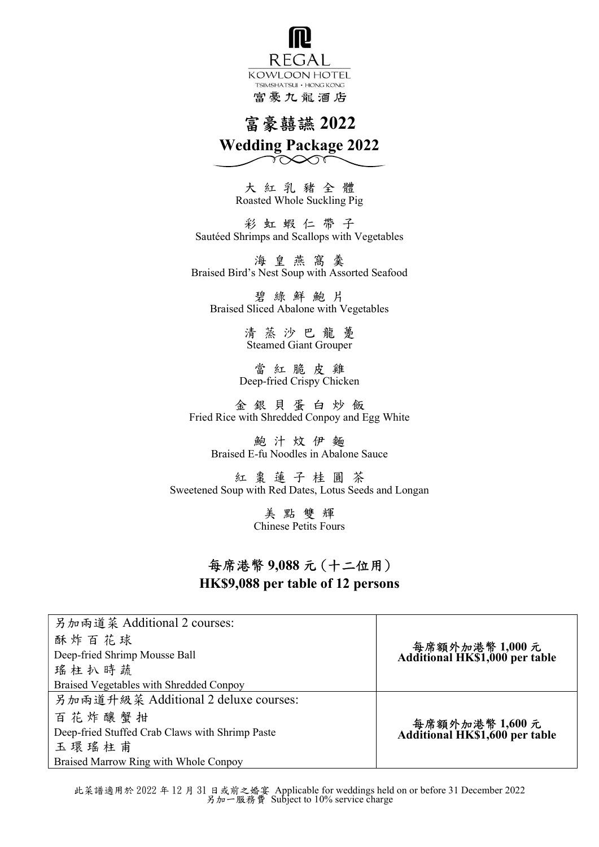R EGAL KOWLOON HOTEL TSIMSHATSUI . HONG KONG 富豪九龍酒店

# 富豪囍讌 2022

Wedding Package 2022  $\gamma\infty$ 

> 大 紅 乳 豬 全 體 Roasted Whole Suckling Pig

彩 虹 蝦 仁 帶 子 Sautéed Shrimps and Scallops with Vegetables

海 皇 燕 窩 羹 Braised Bird's Nest Soup with Assorted Seafood

碧 綠 鮮 鮑 片 Braised Sliced Abalone with Vegetables

> 清 蒸 沙 巴 龍 躉 Steamed Giant Grouper

當 紅 脆 皮 雞 Deep-fried Crispy Chicken

金 銀 貝 蛋 白 炒 飯 Fried Rice with Shredded Conpoy and Egg White

鮑 汁 炆 伊 麵 Braised E-fu Noodles in Abalone Sauce

紅 棗 蓮 子 桂 圓 茶 Sweetened Soup with Red Dates, Lotus Seeds and Longan

> 美 點 雙 輝 Chinese Petits Fours

#### 每席港幣 9,088 元 (十二位用) HK\$9,088 per table of 12 persons

另加兩道菜 Additional 2 courses: 酥 炸 百 花 球 Deep-fried Shrimp Mousse Ball 瑤柱扒時蔬 Braised Vegetables with Shredded Conpoy 每席額外加港幣 1,000 元 Additional HK\$1,000 per table 另加兩道升級菜 Additional 2 deluxe courses: 百 花 炸 釀 蟹 拑 Deep-fried Stuffed Crab Claws with Shrimp Paste 玉 環 瑤 柱 甫 Braised Marrow Ring with Whole Conpoy 每席額外加港幣 1,600 元 Additional HK\$1,600 per table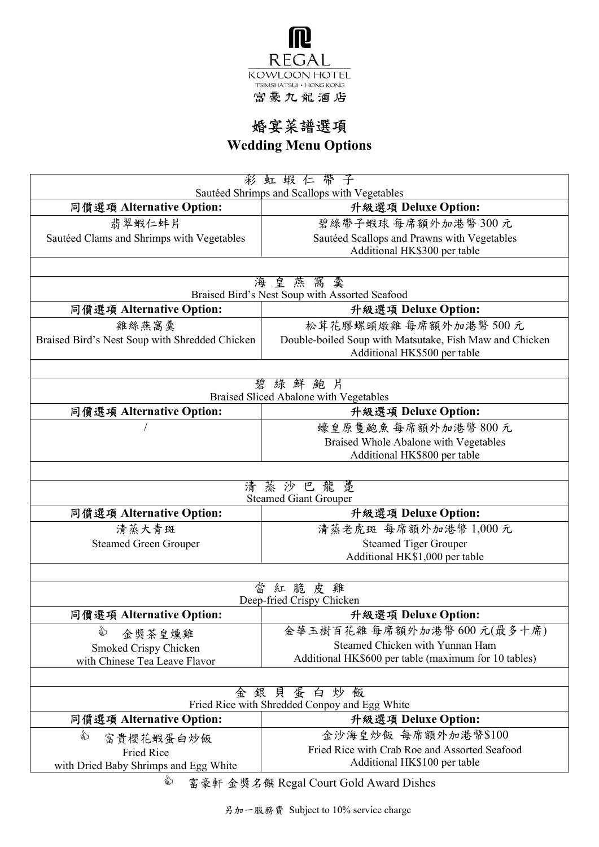

# 婚宴菜譜選項

Wedding Menu Options

| 彩虹蝦仁帶子<br>Sautéed Shrimps and Scallops with Vegetables                       |                                                                                         |  |
|------------------------------------------------------------------------------|-----------------------------------------------------------------------------------------|--|
| 同價選項 Alternative Option:                                                     | 升級選項 Deluxe Option:                                                                     |  |
| 翡翠蝦仁蚌片                                                                       | 碧綠帶子蝦球 每席額外加港幣 300元                                                                     |  |
| Sautéed Clams and Shrimps with Vegetables                                    | Sautéed Scallops and Prawns with Vegetables                                             |  |
|                                                                              | Additional HK\$300 per table                                                            |  |
|                                                                              |                                                                                         |  |
| 海皇燕窩羹<br>Braised Bird's Nest Soup with Assorted Seafood                      |                                                                                         |  |
| 同價選項 Alternative Option:                                                     | 升級選項 Deluxe Option:                                                                     |  |
| 雞絲燕窩羹                                                                        | 松茸花膠螺頭燉雞每席額外加港幣500元                                                                     |  |
| Braised Bird's Nest Soup with Shredded Chicken                               | Double-boiled Soup with Matsutake, Fish Maw and Chicken<br>Additional HK\$500 per table |  |
|                                                                              |                                                                                         |  |
| 碧綠鮮鮑片                                                                        |                                                                                         |  |
| Braised Sliced Abalone with Vegetables                                       |                                                                                         |  |
| 同價選項 Alternative Option:                                                     | 升級選項 Deluxe Option:                                                                     |  |
|                                                                              | 蠔皇原隻鮑魚每席額外加港幣800元                                                                       |  |
|                                                                              | Braised Whole Abalone with Vegetables<br>Additional HK\$800 per table                   |  |
|                                                                              |                                                                                         |  |
|                                                                              | 清蒸沙巴龍躉<br><b>Steamed Giant Grouper</b>                                                  |  |
| 同價選項 Alternative Option:                                                     | 升級選項 Deluxe Option:                                                                     |  |
| 清蒸大青斑                                                                        | 清蒸老虎斑 每席額外加港幣 1,000元                                                                    |  |
| <b>Steamed Green Grouper</b>                                                 | <b>Steamed Tiger Grouper</b>                                                            |  |
|                                                                              | Additional HK\$1,000 per table                                                          |  |
|                                                                              |                                                                                         |  |
| 當<br>紅脆皮雞                                                                    |                                                                                         |  |
| Deep-fried Crispy Chicken<br>同價選項 Alternative Option:<br>升級選項 Deluxe Option: |                                                                                         |  |
| ☝                                                                            | 金華玉樹百花雞每席額外加港幣600元(最多十席)                                                                |  |
| 金獎茶皇燻雞                                                                       | Steamed Chicken with Yunnan Ham                                                         |  |
| Smoked Crispy Chicken<br>with Chinese Tea Leave Flavor                       | Additional HK\$600 per table (maximum for 10 tables)                                    |  |
|                                                                              |                                                                                         |  |
| 金                                                                            | 銀貝蛋白炒飯<br>Fried Rice with Shredded Conpoy and Egg White                                 |  |
| 同價選項 Alternative Option:                                                     | 升級選項 Deluxe Option:                                                                     |  |
| ☝                                                                            | 金沙海皇炒飯 每席額外加港幣\$100                                                                     |  |
| 富貴櫻花蝦蛋白炒飯<br><b>Fried Rice</b>                                               | Fried Rice with Crab Roe and Assorted Seafood                                           |  |
| with Dried Baby Shrimps and Egg White                                        | Additional HK\$100 per table                                                            |  |
| ☝                                                                            | 富豪軒 金獎名饌 Regal Court Gold Award Dishes                                                  |  |

另加一服務費 Subject to 10% service charge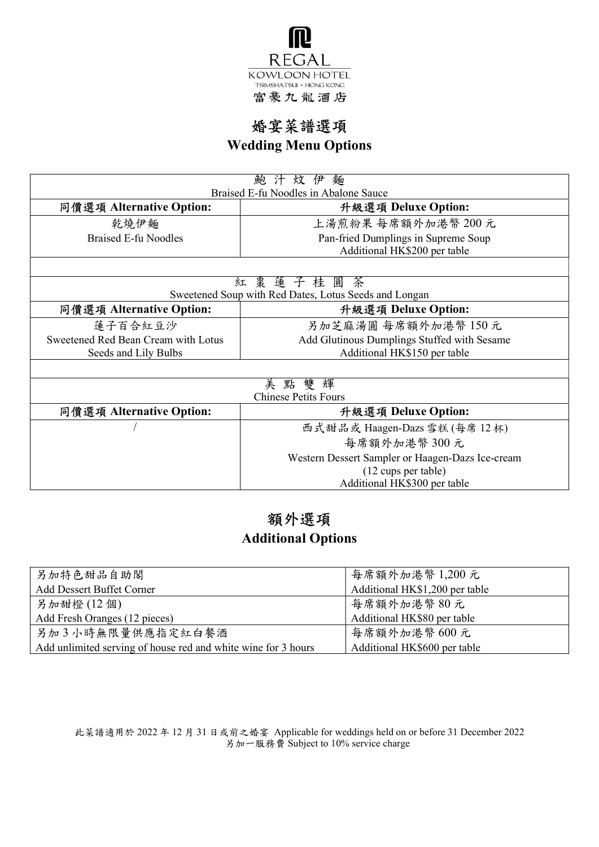

## 婚宴菜譜選項

Wedding Menu Options

| 汁炆伊麵<br>鮑                                             |                                                  |  |
|-------------------------------------------------------|--------------------------------------------------|--|
| Braised E-fu Noodles in Abalone Sauce                 |                                                  |  |
| 同價選項 Alternative Option:                              | 升級選項 Deluxe Option:                              |  |
| 乾燒伊麵                                                  | 上湯煎粉果 每席額外加港幣 200元                               |  |
| Braised E-fu Noodles                                  | Pan-fried Dumplings in Supreme Soup              |  |
|                                                       | Additional HK\$200 per table                     |  |
|                                                       |                                                  |  |
| 紅 棗 蓮 子 桂 圓 茶                                         |                                                  |  |
| Sweetened Soup with Red Dates, Lotus Seeds and Longan |                                                  |  |
| 同價選項 Alternative Option:                              | 升級選項 Deluxe Option:                              |  |
| 蓮子百合紅豆沙                                               | 另加芝麻湯圓 每席額外加港幣 150元                              |  |
| Sweetened Red Bean Cream with Lotus                   | Add Glutinous Dumplings Stuffed with Sesame      |  |
| Seeds and Lily Bulbs                                  | Additional HK\$150 per table                     |  |
|                                                       |                                                  |  |
| 美點雙輝                                                  |                                                  |  |
| <b>Chinese Petits Fours</b>                           |                                                  |  |
| 同價選項 Alternative Option:                              | 升級選項 Deluxe Option:                              |  |
|                                                       | 西式甜品或 Haagen-Dazs 雪糕 (每席 12杯)                    |  |
|                                                       | 每席額外加港幣 300元                                     |  |
|                                                       | Western Dessert Sampler or Haagen-Dazs Ice-cream |  |
|                                                       | (12 cups per table)                              |  |
|                                                       | Additional HK\$300 per table                     |  |

### 額外選項 Additional Options

| 另加特色甜品自助閣                                                     | 每席額外加港幣 1,200元                 |
|---------------------------------------------------------------|--------------------------------|
| Add Dessert Buffet Corner                                     | Additional HK\$1,200 per table |
| 另加甜橙(12個)                                                     | 每席額外加港幣80元                     |
| Add Fresh Oranges (12 pieces)                                 | Additional HK\$80 per table    |
| 另加3小時無限量供應指定紅白餐酒                                              | 每席額外加港幣600元                    |
| Add unlimited serving of house red and white wine for 3 hours | Additional HK\$600 per table   |

此菜譜適用於 2022 年 12 月 31 日或前之婚宴 Applicable for weddings held on or before 31 December 2022 另加一服務費 Subject to 10% service charge